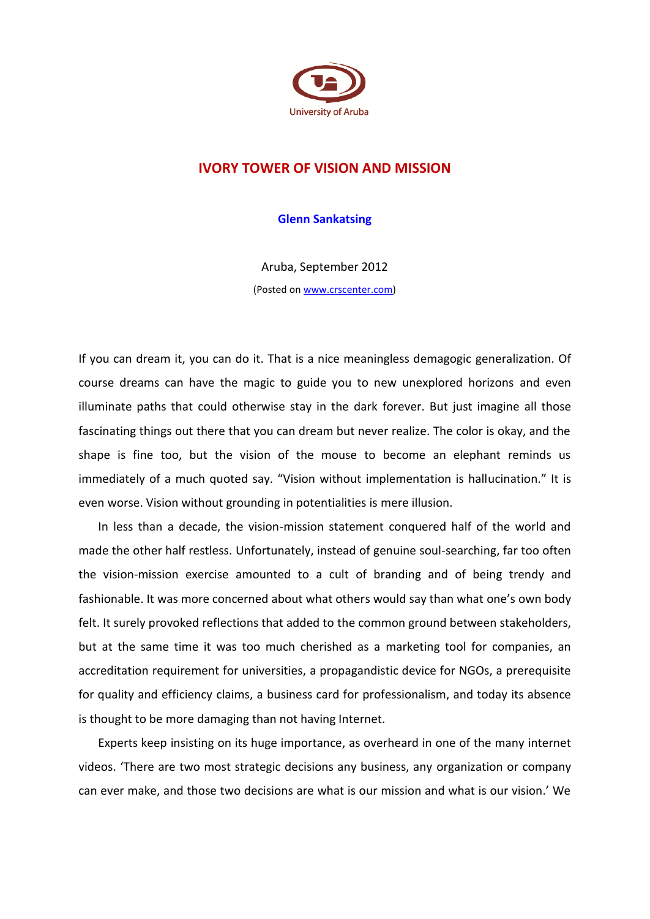

## **IVORY TOWER OF VISION AND MISSION**

**Glenn Sankatsing**

Aruba, September 2012 (Posted on [www.crscenter.com\)](http://www.crscenter.com/)

If you can dream it, you can do it. That is a nice meaningless demagogic generalization. Of course dreams can have the magic to guide you to new unexplored horizons and even illuminate paths that could otherwise stay in the dark forever. But just imagine all those fascinating things out there that you can dream but never realize. The color is okay, and the shape is fine too, but the vision of the mouse to become an elephant reminds us immediately of a much quoted say. "Vision without implementation is hallucination." It is even worse. Vision without grounding in potentialities is mere illusion.

In less than a decade, the vision-mission statement conquered half of the world and made the other half restless. Unfortunately, instead of genuine soul-searching, far too often the vision-mission exercise amounted to a cult of branding and of being trendy and fashionable. It was more concerned about what others would say than what one's own body felt. It surely provoked reflections that added to the common ground between stakeholders, but at the same time it was too much cherished as a marketing tool for companies, an accreditation requirement for universities, a propagandistic device for NGOs, a prerequisite for quality and efficiency claims, a business card for professionalism, and today its absence is thought to be more damaging than not having Internet.

Experts keep insisting on its huge importance, as overheard in one of the many internet videos. 'There are two most strategic decisions any business, any organization or company can ever make, and those two decisions are what is our mission and what is our vision.' We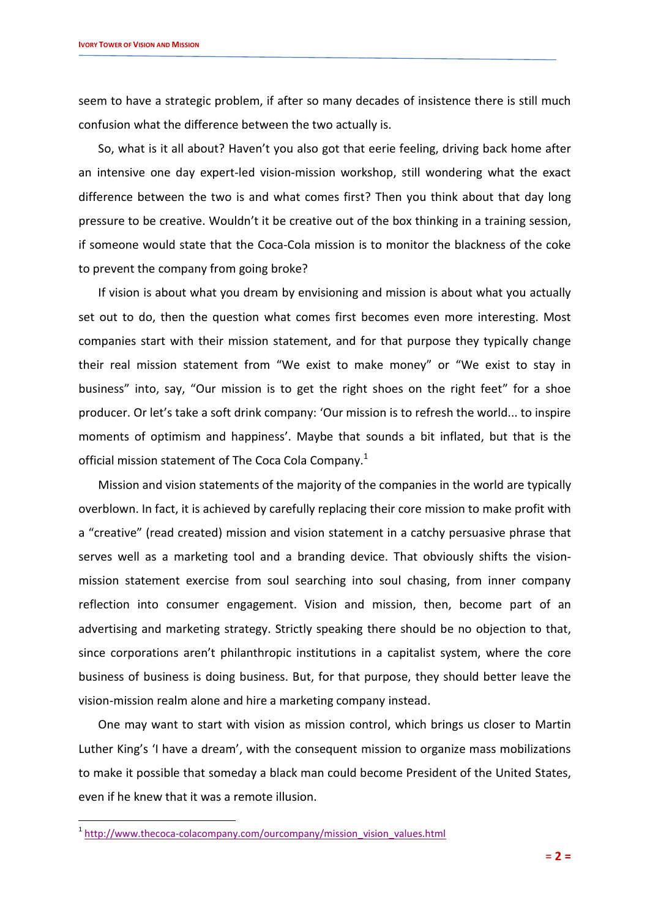seem to have a strategic problem, if after so many decades of insistence there is still much confusion what the difference between the two actually is.

So, what is it all about? Haven't you also got that eerie feeling, driving back home after an intensive one day expert-led vision-mission workshop, still wondering what the exact difference between the two is and what comes first? Then you think about that day long pressure to be creative. Wouldn't it be creative out of the box thinking in a training session, if someone would state that the Coca-Cola mission is to monitor the blackness of the coke to prevent the company from going broke?

If vision is about what you dream by envisioning and mission is about what you actually set out to do, then the question what comes first becomes even more interesting. Most companies start with their mission statement, and for that purpose they typically change their real mission statement from "We exist to make money" or "We exist to stay in business" into, say, "Our mission is to get the right shoes on the right feet" for a shoe producer. Or let's take a soft drink company: 'Our mission is to refresh the world... to inspire moments of optimism and happiness'. Maybe that sounds a bit inflated, but that is the official mission statement of The Coca Cola Company.<sup>1</sup>

Mission and vision statements of the majority of the companies in the world are typically overblown. In fact, it is achieved by carefully replacing their core mission to make profit with a "creative" (read created) mission and vision statement in a catchy persuasive phrase that serves well as a marketing tool and a branding device. That obviously shifts the visionmission statement exercise from soul searching into soul chasing, from inner company reflection into consumer engagement. Vision and mission, then, become part of an advertising and marketing strategy. Strictly speaking there should be no objection to that, since corporations aren't philanthropic institutions in a capitalist system, where the core business of business is doing business. But, for that purpose, they should better leave the vision-mission realm alone and hire a marketing company instead.

One may want to start with vision as mission control, which brings us closer to Martin Luther King's 'I have a dream', with the consequent mission to organize mass mobilizations to make it possible that someday a black man could become President of the United States, even if he knew that it was a remote illusion.

-

<sup>&</sup>lt;sup>1</sup> [http://www.thecoca-colacompany.com/ourcompany/mission\\_vision\\_values.html](http://www.thecoca-colacompany.com/ourcompany/mission_vision_values.html)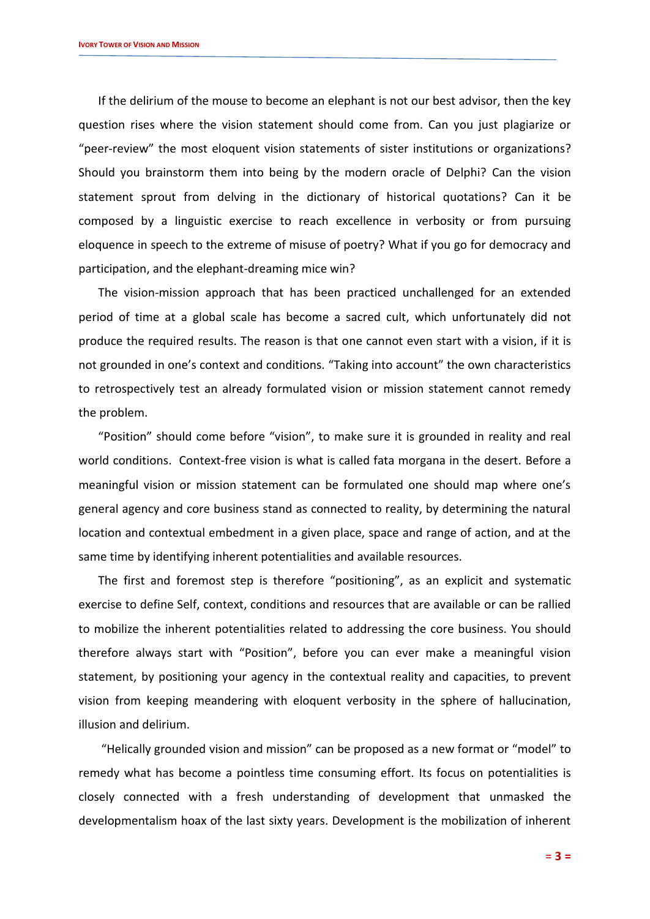If the delirium of the mouse to become an elephant is not our best advisor, then the key question rises where the vision statement should come from. Can you just plagiarize or "peer-review" the most eloquent vision statements of sister institutions or organizations? Should you brainstorm them into being by the modern oracle of Delphi? Can the vision statement sprout from delving in the dictionary of historical quotations? Can it be composed by a linguistic exercise to reach excellence in verbosity or from pursuing eloquence in speech to the extreme of misuse of poetry? What if you go for democracy and participation, and the elephant-dreaming mice win?

The vision-mission approach that has been practiced unchallenged for an extended period of time at a global scale has become a sacred cult, which unfortunately did not produce the required results. The reason is that one cannot even start with a vision, if it is not grounded in one's context and conditions. "Taking into account" the own characteristics to retrospectively test an already formulated vision or mission statement cannot remedy the problem.

"Position" should come before "vision", to make sure it is grounded in reality and real world conditions. Context-free vision is what is called fata morgana in the desert. Before a meaningful vision or mission statement can be formulated one should map where one's general agency and core business stand as connected to reality, by determining the natural location and contextual embedment in a given place, space and range of action, and at the same time by identifying inherent potentialities and available resources.

The first and foremost step is therefore "positioning", as an explicit and systematic exercise to define Self, context, conditions and resources that are available or can be rallied to mobilize the inherent potentialities related to addressing the core business. You should therefore always start with "Position", before you can ever make a meaningful vision statement, by positioning your agency in the contextual reality and capacities, to prevent vision from keeping meandering with eloquent verbosity in the sphere of hallucination, illusion and delirium.

"Helically grounded vision and mission" can be proposed as a new format or "model" to remedy what has become a pointless time consuming effort. Its focus on potentialities is closely connected with a fresh understanding of development that unmasked the developmentalism hoax of the last sixty years. Development is the mobilization of inherent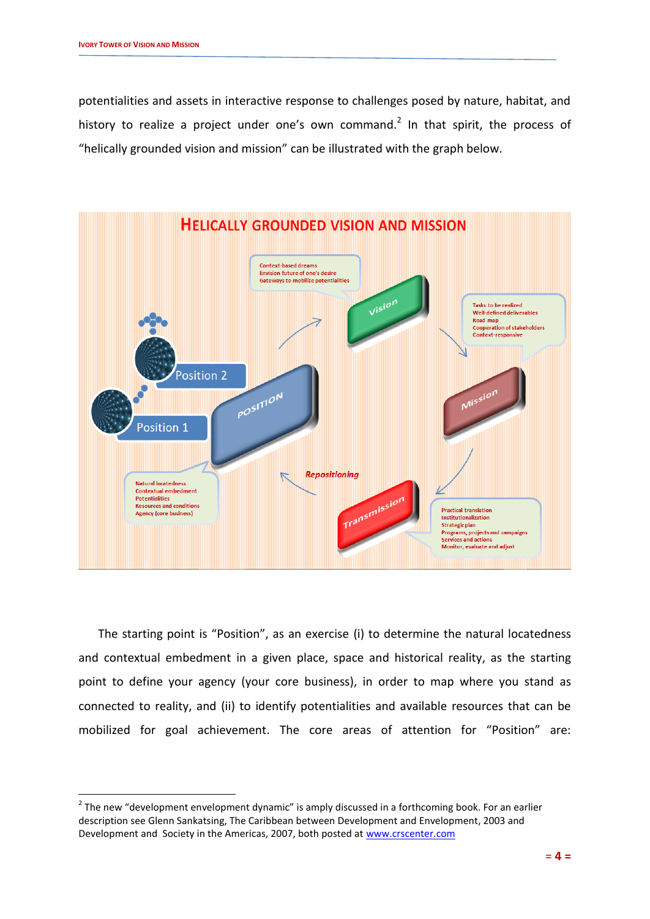-

potentialities and assets in interactive response to challenges posed by nature, habitat, and history to realize a project under one's own command.<sup>2</sup> In that spirit, the process of "helically grounded vision and mission" can be illustrated with the graph below.



The starting point is "Position", as an exercise (i) to determine the natural locatedness and contextual embedment in a given place, space and historical reality, as the starting point to define your agency (your core business), in order to map where you stand as connected to reality, and (ii) to identify potentialities and available resources that can be mobilized for goal achievement. The core areas of attention for "Position" are:

 $2$  The new "development envelopment dynamic" is amply discussed in a forthcoming book. For an earlier description see Glenn Sankatsing, The Caribbean between Development and Envelopment, 2003 and Development and Society in the Americas, 2007, both posted at [www.crscenter.com](http://www.crscenter.com/)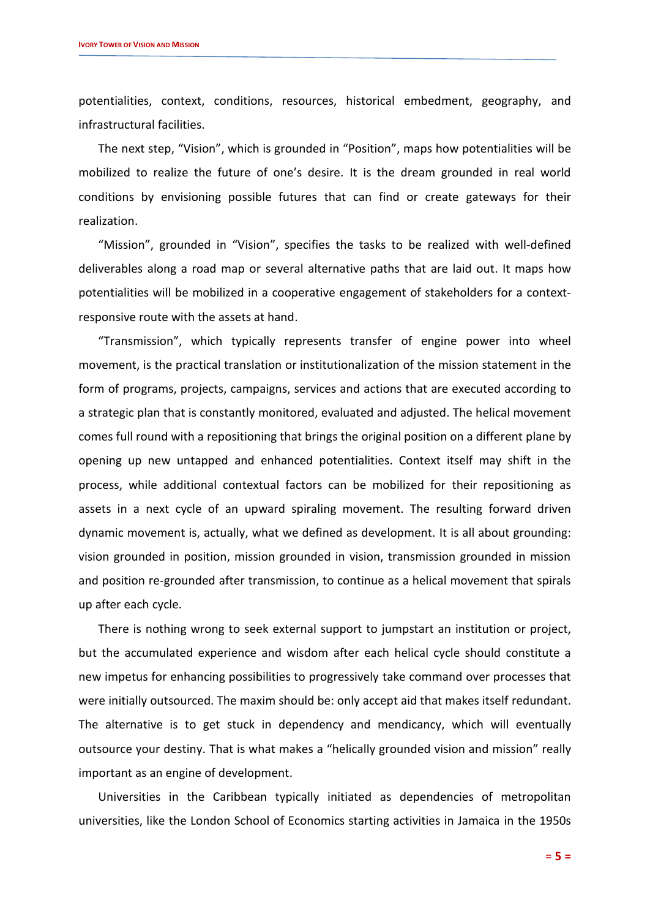potentialities, context, conditions, resources, historical embedment, geography, and infrastructural facilities.

The next step, "Vision", which is grounded in "Position", maps how potentialities will be mobilized to realize the future of one's desire. It is the dream grounded in real world conditions by envisioning possible futures that can find or create gateways for their realization.

"Mission", grounded in "Vision", specifies the tasks to be realized with well-defined deliverables along a road map or several alternative paths that are laid out. It maps how potentialities will be mobilized in a cooperative engagement of stakeholders for a contextresponsive route with the assets at hand.

"Transmission", which typically represents transfer of engine power into wheel movement, is the practical translation or institutionalization of the mission statement in the form of programs, projects, campaigns, services and actions that are executed according to a strategic plan that is constantly monitored, evaluated and adjusted. The helical movement comes full round with a repositioning that brings the original position on a different plane by opening up new untapped and enhanced potentialities. Context itself may shift in the process, while additional contextual factors can be mobilized for their repositioning as assets in a next cycle of an upward spiraling movement. The resulting forward driven dynamic movement is, actually, what we defined as development. It is all about grounding: vision grounded in position, mission grounded in vision, transmission grounded in mission and position re-grounded after transmission, to continue as a helical movement that spirals up after each cycle.

There is nothing wrong to seek external support to jumpstart an institution or project, but the accumulated experience and wisdom after each helical cycle should constitute a new impetus for enhancing possibilities to progressively take command over processes that were initially outsourced. The maxim should be: only accept aid that makes itself redundant. The alternative is to get stuck in dependency and mendicancy, which will eventually outsource your destiny. That is what makes a "helically grounded vision and mission" really important as an engine of development.

Universities in the Caribbean typically initiated as dependencies of metropolitan universities, like the London School of Economics starting activities in Jamaica in the 1950s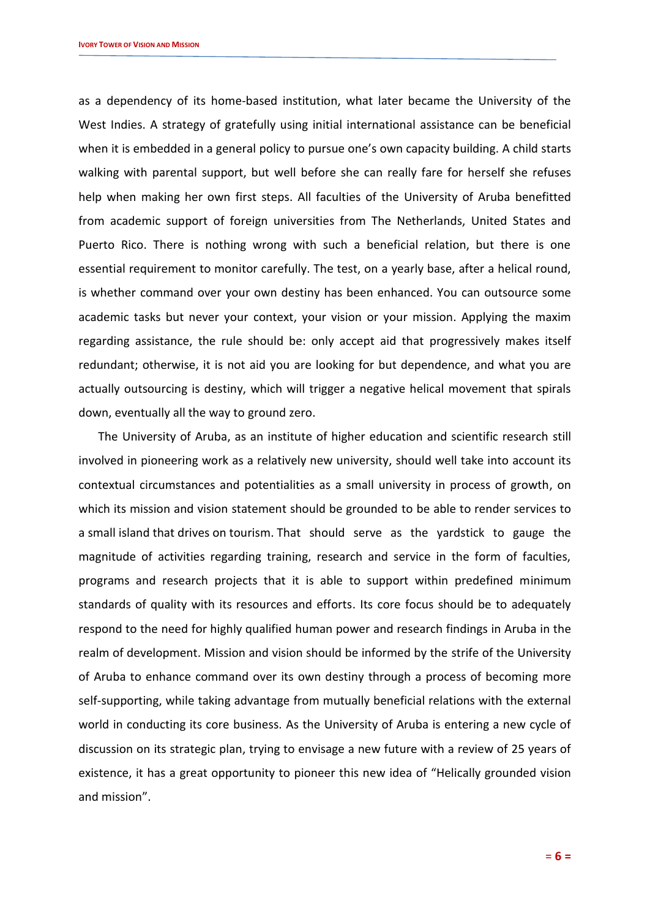as a dependency of its home-based institution, what later became the University of the West Indies. A strategy of gratefully using initial international assistance can be beneficial when it is embedded in a general policy to pursue one's own capacity building. A child starts walking with parental support, but well before she can really fare for herself she refuses help when making her own first steps. All faculties of the University of Aruba benefitted from academic support of foreign universities from The Netherlands, United States and Puerto Rico. There is nothing wrong with such a beneficial relation, but there is one essential requirement to monitor carefully. The test, on a yearly base, after a helical round, is whether command over your own destiny has been enhanced. You can outsource some academic tasks but never your context, your vision or your mission. Applying the maxim regarding assistance, the rule should be: only accept aid that progressively makes itself redundant; otherwise, it is not aid you are looking for but dependence, and what you are actually outsourcing is destiny, which will trigger a negative helical movement that spirals down, eventually all the way to ground zero.

The University of Aruba, as an institute of higher education and scientific research still involved in pioneering work as a relatively new university, should well take into account its contextual circumstances and potentialities as a small university in process of growth, on which its mission and vision statement should be grounded to be able to render services to a small island that drives on tourism. That should serve as the yardstick to gauge the magnitude of activities regarding training, research and service in the form of faculties, programs and research projects that it is able to support within predefined minimum standards of quality with its resources and efforts. Its core focus should be to adequately respond to the need for highly qualified human power and research findings in Aruba in the realm of development. Mission and vision should be informed by the strife of the University of Aruba to enhance command over its own destiny through a process of becoming more self-supporting, while taking advantage from mutually beneficial relations with the external world in conducting its core business. As the University of Aruba is entering a new cycle of discussion on its strategic plan, trying to envisage a new future with a review of 25 years of existence, it has a great opportunity to pioneer this new idea of "Helically grounded vision and mission".